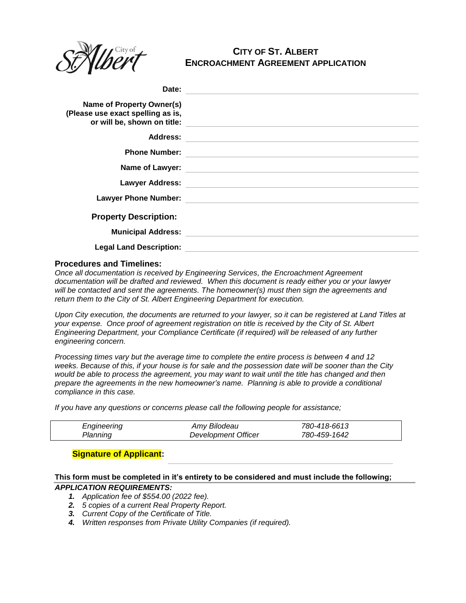

# **CITY OF ST. ALBERT ENCROACHMENT AGREEMENT APPLICATION**

| Date:                                                          |                                                                                                                      |
|----------------------------------------------------------------|----------------------------------------------------------------------------------------------------------------------|
| Name of Property Owner(s)<br>(Please use exact spelling as is, | or will be, shown on title: will be a shown on title:                                                                |
| Address:                                                       | <u> 1980 - Andrea Andrew Maria (h. 1980).</u><br>1901 - Andrew Maria (h. 1902).                                      |
| <b>Phone Number:</b>                                           |                                                                                                                      |
|                                                                |                                                                                                                      |
|                                                                | Lawyer Address: 2008 2009 2010 2021 2022 2023 2024 2022 2023 2024 2022 2023 2024 2022 2023 2024 2022 2023 2024       |
|                                                                | Lawyer Phone Number: <u>Alexander School (Alexander School (Alexander School (Alexander School (Alexander School</u> |
| <b>Property Description:</b>                                   |                                                                                                                      |
| <b>Municipal Address:</b>                                      |                                                                                                                      |
| <b>Legal Land Description:</b>                                 |                                                                                                                      |

### **Procedures and Timelines:**

*Once all documentation is received by Engineering Services, the Encroachment Agreement documentation will be drafted and reviewed. When this document is ready either you or your lawyer will be contacted and sent the agreements. The homeowner(s) must then sign the agreements and return them to the City of St. Albert Engineering Department for execution.*

*Upon City execution, the documents are returned to your lawyer, so it can be registered at Land Titles at your expense. Once proof of agreement registration on title is received by the City of St. Albert Engineering Department, your Compliance Certificate (if required) will be released of any further engineering concern.*

*Processing times vary but the average time to complete the entire process is between 4 and 12 weeks. Because of this, if your house is for sale and the possession date will be sooner than the City would be able to process the agreement, you may want to wait until the title has changed and then prepare the agreements in the new homeowner's name. Planning is able to provide a conditional compliance in this case.*

*If you have any questions or concerns please call the following people for assistance;*

| Engineering | Amy Bilodeau        | 780-418-6613 |  |
|-------------|---------------------|--------------|--|
| Planning    | Development Officer | 780-459-1642 |  |

# **Signature of Applicant:**

## **This form must be completed in it's entirety to be considered and must include the following;** *APPLICATION REQUIREMENTS:*

- *1. Application fee of \$554.00 (2022 fee).*
- *2. 5 copies of a current Real Property Report.*
- *3. Current Copy of the Certificate of Title.*
- *4. Written responses from Private Utility Companies (if required).*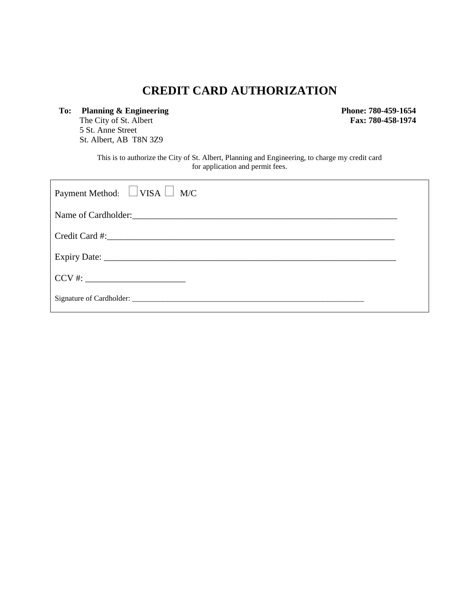# **CREDIT CARD AUTHORIZATION**

**To: Planning & Engineering**  The City of St. Albert 5 St. Anne Street St. Albert, AB T8N 3Z9

 **Phone: 780-459-1654 Fax: 780-458-1974**

This is to authorize the City of St. Albert, Planning and Engineering, to charge my credit card for application and permit fees.

| Payment Method: $\Box$ VISA $\Box$ M/C |  |  |  |
|----------------------------------------|--|--|--|
|                                        |  |  |  |
|                                        |  |  |  |
|                                        |  |  |  |
|                                        |  |  |  |
|                                        |  |  |  |